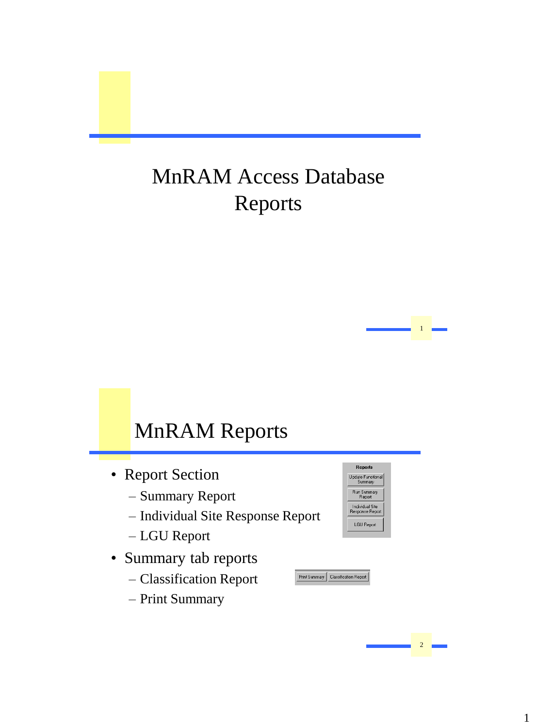## MnRAM Access Database Reports

### MnRAM Reports

- Report Section
	- Summary Report
	- Individual Site Response Report
	- LGU Report
- Summary tab reports
	- Classification Report
	- Print Summary



1 1

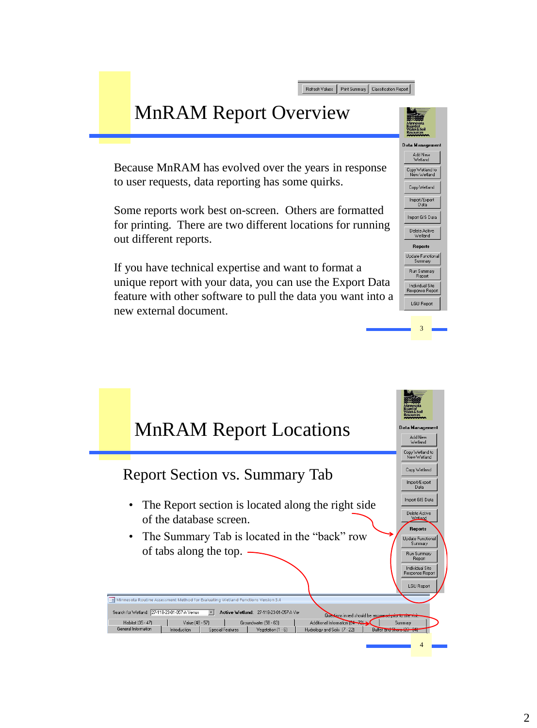Refresh Values | Print Summary | Classification Report |

#### MnRAM Report Overview

Because MnRAM has evolved over the years in response to user requests, data reporting has some quirks.

Some reports work best on-screen. Others are formatted for printing. There are two different locations for running out different reports.

If you have technical expertise and want to format a unique report with your data, you can use the Export Data feature with other software to pull the data you want into a new external document.



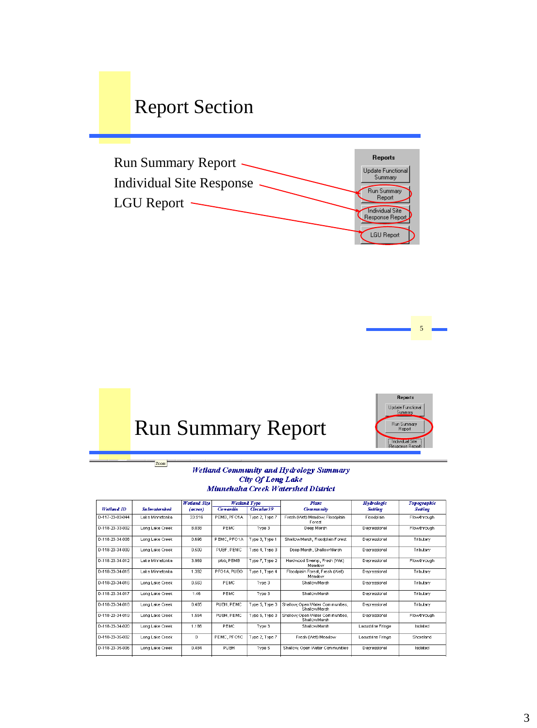#### Report Section







Zoom



#### Wetland Community and Hydrology Summary **City Of Long Lake** Minnehaha Creek Watershed District

|                 |                     | <b>Wetland Size</b> |             | <b>Wetland Type</b> | Plant                                            | <b>Hydrologic</b> | Topographic    |
|-----------------|---------------------|---------------------|-------------|---------------------|--------------------------------------------------|-------------------|----------------|
| Wetland ID      | <b>Subwatershed</b> | (acres)             | Cowardin    | <b>Creular39</b>    | Community                                        | <b>Setting</b>    | <b>Setting</b> |
| D-117-23-03-044 | Lake Minnetonka     | 33.916              | PEMB. PFO1A | Type 2. Type 7      | Fresh (Wet) Meadow, Floodplain<br>Forest         | Floodplain        | Flowthrough    |
| D-118-23-33-002 | Long Lake Creek     | 8.038               | PE MC       | Type 3              | Deep Marsh                                       | Depressional      | Flowthrough    |
| D-118-23-34-008 | Long Lake Creek     | 0.696               | PEMC, PFO1A | Type 3, Type 1      | Shallow Marsh, Floodplain Forest                 | Depressional      | Tributarv      |
| D-118-23-34-009 | Long Lake Creek     | 0.509               | PUBF, PEMC  | Type 4, Type 3      | Deep Marsh, Shallow Marsh                        | Depressional      | Tributary      |
| D-118-23-34-012 | Lake Minnetonka     | 3.969               | pfob, PEMB  | Type 7, Type 2      | Hardwood Swamp, Fresh (Wet)<br>Meadow            | Depressional      | Flowthrough    |
| D-118-23-34-015 | Lake Minnetonka     | 1.392               | PFO1A PUBG  | Type 1, Type 4      | Floodplain Forest, Fresh (Wet)<br>Meadow         | Depressional      | Tributary      |
| D-118-23-34-016 | Long Lake Creek     | 0.563               | PE MC       | Type 3              | ShallowMarsh                                     | Depressional      | Tributary      |
| D-118-23-34-017 | Long Lake Creek     | 146                 | PE MC       | Type 3              | Shallnwivlarsh                                   | Depressional      | Tributary      |
| D-118-23-34-018 | Long Lake Creek     | 0.485               | PUBH, PEMC  | Type 5, Type 3      | Shallow, Open Water Communities.<br>ShallowMarsh | Depressional      | Tributary      |
| D-118-23-34-019 | Long Lake Creek     | 1.554               | PUBH, PEMC  | Type 5, Type 3      | Shallow, Open Water Communities,<br>ShallowMarsh | Depressional      | Flowthrough    |
| D-118-23-34-020 | Long Lake Creek     | 1.186               | PEMC        | Type 3              | ShallowMarsh                                     | Lacustrine Fringe | Isolated       |
| D-118-23-35-002 | Long Lake Creek     | 0                   | PEMC, PFO1C | Type 2, Type 7      | Fresh (Wet) Meadow                               | Lacustrine Fringe | Shoreland      |
| D-118-23-35-006 | Long Lake Creek     | £ 484               | PLIBH       | Type 5              | Shallow, Open Water Communities                  | Depressional      | Isolated       |
|                 |                     |                     |             |                     |                                                  |                   |                |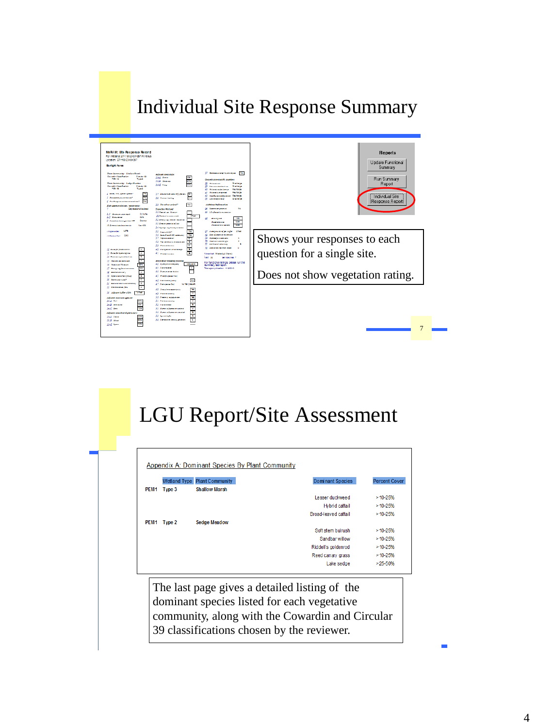#### Individual Site Response Summary



#### LGU Report/Site Assessment

|                  |        | Wetland Type Plant Community | <b>Dominant Species</b> | <b>Percent Cover</b> |
|------------------|--------|------------------------------|-------------------------|----------------------|
| PEM <sub>1</sub> | Type 3 | <b>Shallow Marsh</b>         |                         |                      |
|                  |        |                              | Lesser duckweed         | $>10-25%$            |
|                  |        |                              | Hybrid cattail          | $>10-25%$            |
|                  |        |                              | Broad-leaved cattail    | $>10-25%$            |
| PEM <sub>1</sub> | Type 2 | <b>Sedge Meadow</b>          |                         |                      |
|                  |        |                              | Soft stem bulrush       | $>10-25%$            |
|                  |        |                              | Sandbar willow          | $>10-25%$            |
|                  |        |                              | Riddell's goldenrod     | $>10-25%$            |
|                  |        |                              | Reed canary grass       | $>10-25%$            |
|                  |        |                              | Lake sedge              | $>25 - 50%$          |

 $\sqrt{\frac{\sum_{k=1}^{n} \sum_{k=1}^{n} \sum_{k=1}^{n} \sum_{k=1}^{n} \sum_{k=1}^{n} \sum_{k=1}^{n} \sum_{k=1}^{n} \sum_{k=1}^{n} \sum_{k=1}^{n} \sum_{k=1}^{n} \sum_{k=1}^{n} \sum_{k=1}^{n} \sum_{k=1}^{n} \sum_{k=1}^{n} \sum_{k=1}^{n} \sum_{k=1}^{n} \sum_{k=1}^{n} \sum_{k=1}^{n} \sum_{k=1}^{n} \sum_{k=1}^{n} \sum_{k=1}^{n} \sum_{k=1$  $\frac{d}{dx}$  music  $\frac{d}{dx}$  and  $\frac{d}{dx}$  are  $\frac{d}{dx}$  and  $\frac{d}{dx}$  are  $\frac{d}{dx}$  and  $\frac{d}{dx}$  are  $\frac{d}{dx}$  and  $\frac{d}{dx}$  are  $\frac{d}{dx}$  are  $\frac{d}{dx}$  and  $\frac{d}{dx}$  are  $\frac{d}{dx}$  are  $\frac{d}{dx}$  and  $\frac{d}{dx}$  are  $\frac{d}{dx}$ 39 classifications chosen by the reviewer.  $\begin{array}{c} \begin{array}{c} \end{array}$ guide reviewers who lack out of the reviewers who lack out of the reviewers who lack out of the reviewers who l The last page gives a detailed listing of the  $\frac{1}{2}$  dominant species listed for each vegetative community, along with the Cowardin and Circular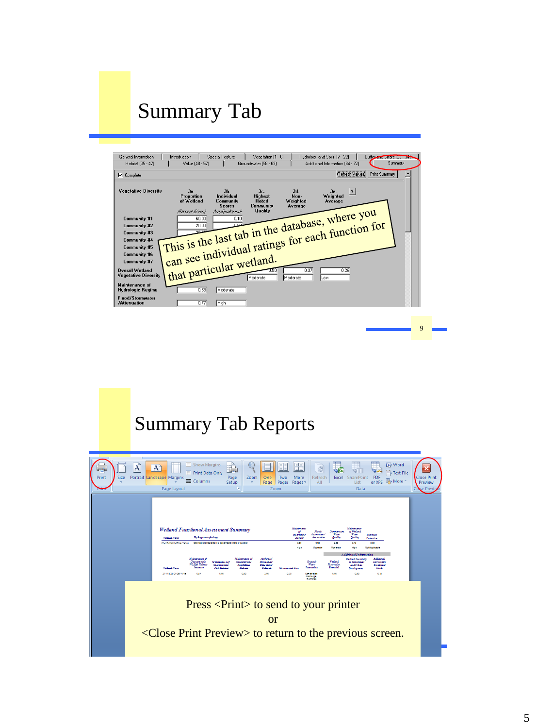#### Summary Tab

| General Information<br>Habitat (35 - 47)                                                                            | Introduction<br>Value (48 - 57) | <b>Special Features</b>                     | Vegetation (1 - 6)<br>Groundwater (58 - 63)     |                                    | Hudrology and Soils (7 - 22)<br>Additional Information (64 - 72) | Buffer and Shore (23 - 34) | Summary |
|---------------------------------------------------------------------------------------------------------------------|---------------------------------|---------------------------------------------|-------------------------------------------------|------------------------------------|------------------------------------------------------------------|----------------------------|---------|
| $\overline{\mathbf{V}}$ Complete                                                                                    |                                 |                                             |                                                 |                                    | Refresh Values                                                   | Print Summary              |         |
| <b>Vegetative Diversity</b>                                                                                         | 3a.<br>Proportion<br>of Wetland | $3b$ .<br>Individual<br>Community<br>Scores | 3c.<br><b>Highest</b><br>Rated<br>Community     | 3d.<br>Non-<br>Weighted<br>Average | $\overline{\mathbf{?}}$<br>$36$ .<br>Weighted<br>Average         |                            |         |
| Community #1<br>Community #2<br>Community #3<br>Community #4                                                        |                                 |                                             | This is the last tab in the database, where you |                                    |                                                                  |                            |         |
| Community #5<br><b>Community #6</b><br><b>Community #7</b><br><b>Overall Wetland</b><br><b>Vegetative Diversity</b> | that particular wetland.        |                                             |                                                 | 0.37<br>Moderate                   | 0.26<br>Low                                                      |                            |         |
| <b>Maintenance of</b><br><b>Hydrologic Regime</b>                                                                   | 0.65                            | Moderate                                    |                                                 |                                    |                                                                  |                            |         |
| <b>Flood/Stornwater</b><br>/Attenuation                                                                             | 0.77                            | High                                        |                                                 |                                    |                                                                  |                            |         |

#### Summary Tab Reports

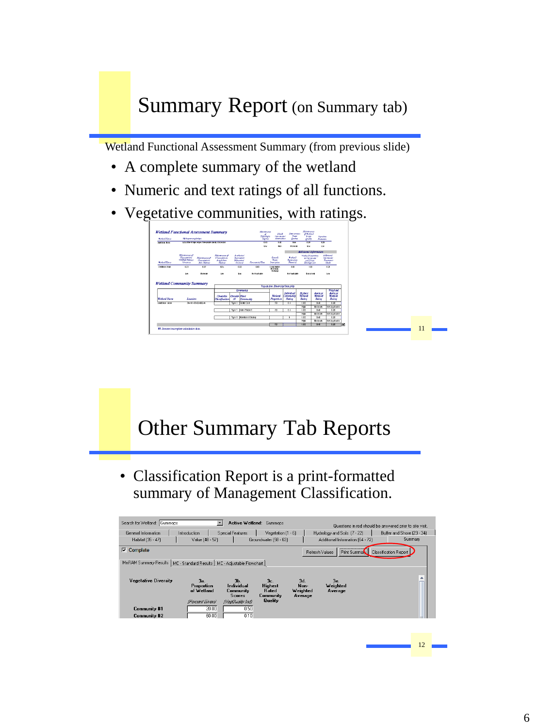#### Summary Report (on Summary tab)

Wetland Functional Assessment Summary (from previous slide)

- A complete summary of the wetland
- Numeric and text ratings of all functions.
- Vegetative communities, with ratings.



# Other Summary Tab Reports

• Classification Report is a print-formatted summary of Management Classification.

| Search for Wetland: Gummops                                               | $\bullet$                       | Active Wetland: Gummops                     |                       |                                    |                                       | Questions in red should be answered prior to site visit. |
|---------------------------------------------------------------------------|---------------------------------|---------------------------------------------|-----------------------|------------------------------------|---------------------------------------|----------------------------------------------------------|
| General Information                                                       | Introduction                    | <b>Special Features</b>                     | Vegetation $[1 - 6]$  |                                    | Hydrology and Soils (7 - 22)          | Buffer and Shore (23 - 34)                               |
| Habitat (35 - 47)                                                         | Value (48 - 57)                 |                                             | Groundwater (58 - 63) |                                    | Additional Information (64 - 72)      | Summary                                                  |
| $\nabla$ Complete                                                         |                                 |                                             |                       |                                    | <b>Refresh Values</b><br>Print Summar | <b>Classification Report</b>                             |
| MnRAM Summary Results   MC - Standard Results   MC - Adjustable Flowchart |                                 |                                             |                       |                                    |                                       |                                                          |
|                                                                           |                                 |                                             |                       |                                    |                                       |                                                          |
| <b>Vegetative Diversity</b>                                               | 3a.<br>Proportion<br>of Wetland | $3b$ .<br>Individual<br>Community<br>Scores |                       | 3d.<br>Non-<br>Weichted<br>Average | $36$ .<br>Weighted<br>Average         |                                                          |
|                                                                           | (Pencent Given)                 | NedQuality Indi                             | Quality               |                                    |                                       |                                                          |
| Community #1                                                              | 20.00                           | 0.50                                        |                       |                                    |                                       |                                                          |
| Community #2                                                              | 60.00                           | 0.10                                        |                       |                                    |                                       |                                                          |
|                                                                           |                                 |                                             |                       |                                    |                                       |                                                          |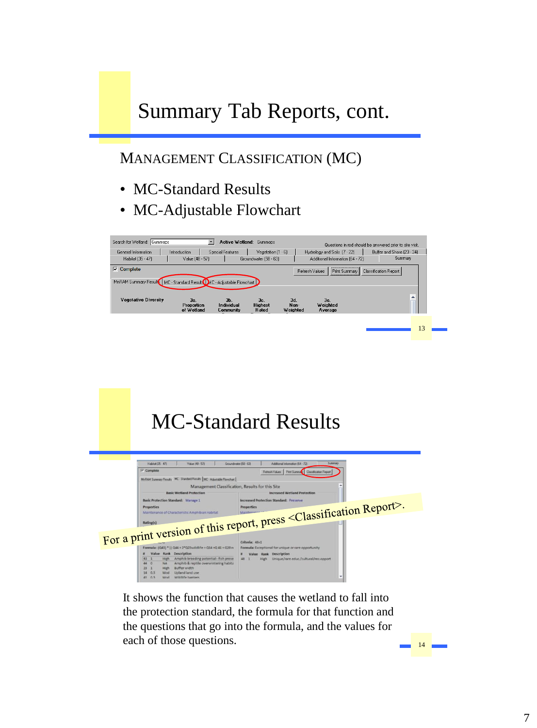## Summary Tab Reports, cont.

#### MANAGEMENT CLASSIFICATION (MC)

- MC-Standard Results
- MC-Adjustable Flowchart



# MC-Standard Results



It shows the function that causes the wetland to fall into the protection standard, the formula for that function and the questions that go into the formula, and the values for each of those questions.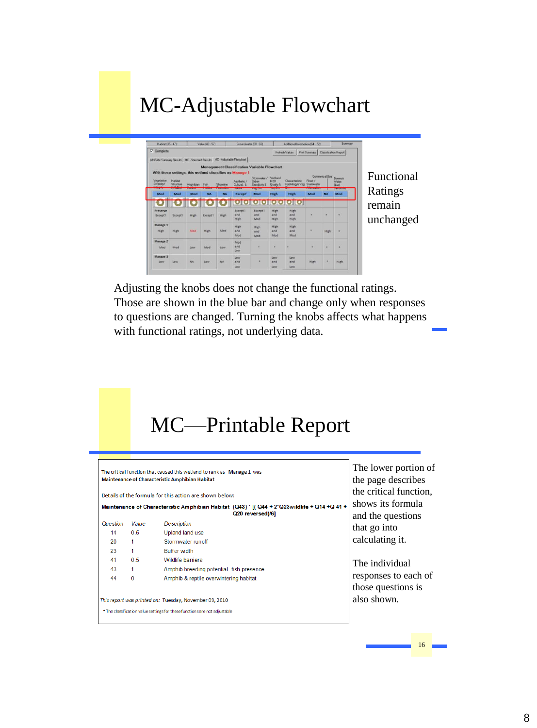#### MC-Adjustable Flowchart

| Habitat (35 - 47)                                                       |                      |                | Value (48 - 57) |           | Groundwater (58 - 63)                                    |                                        |                                    | Additional Information (64 - 72)            |               |                | Summany                  |
|-------------------------------------------------------------------------|----------------------|----------------|-----------------|-----------|----------------------------------------------------------|----------------------------------------|------------------------------------|---------------------------------------------|---------------|----------------|--------------------------|
| $\nabla$ Complete                                                       |                      |                |                 |           |                                                          |                                        |                                    | Refinith Values                             | Print Summary |                | Classification Report    |
| MrRAM Summary Recults   MC - Standard Recults MC - Adjustable Flowchast |                      |                |                 |           |                                                          |                                        |                                    |                                             |               |                |                          |
|                                                                         |                      |                |                 |           | <b>Management Classification Variable Flowchart</b>      |                                        |                                    |                                             |               |                |                          |
|                                                                         |                      |                |                 |           | With these settings, this wetland classifies as Manage 1 |                                        |                                    |                                             |               | Commerical Use |                          |
| Vegetative<br>Diversity/                                                | Habitat<br>Structure | Amphibian Fish |                 | Shoreline | <b>Deutselle 7</b><br>Cultural &                         | Stormwater /<br>Lidwa<br>Sensitivity & | Wetland<br><b>H20</b><br>Quality & | Characteristic<br>Hydrologut Veg Stormwater | Flood /       |                | Downstr<br>Water<br>Qual |
| Mod                                                                     | Mod                  | Mod            | <b>NA</b>       | <b>NA</b> | <b>Except</b> '                                          | Mod                                    | <b>High</b>                        | High                                        | Mod           | <b>NA</b>      | Mod                      |
|                                                                         |                      |                |                 |           |                                                          |                                        |                                    | πο                                          |               |                |                          |
| Preserve<br>Except'i                                                    | Except'i             | High           | Except'l        | High      | Except'l<br>and<br>High                                  | Except'l<br>and<br>Mod                 | High<br>and<br>High                | High<br>and<br>High                         | ٠             | ٠              |                          |
| Manage 1<br>High                                                        | High                 | Mod            | High            | Mod       | High<br>and<br>Mod                                       | High<br>and<br>Mod                     | High<br>and<br>Mod                 | <b>High</b><br>and.<br>Mod                  |               | High           |                          |
| Manage 2<br>Mod                                                         | Mod                  | LOW            | Mod             | Low       | Mod<br>and<br>Low                                        |                                        | ٠                                  | ٠                                           | ٠             | ۰              |                          |
| Manage 3<br>Low                                                         | Low                  | NA             | Low             | <b>NA</b> | Lower<br>and<br>Low                                      |                                        | Low<br>and<br>Low                  | Low<br>and<br>Low                           | High          | ٠              | High                     |

tional ngs  $\sin$ anged

to questions are changed. Turning the knobs affects what happens Adjusting the knobs does not change the functional ratings. Those are shown in the blue bar and change only when responses with functional ratings, not underlying data.

#### MC—Printable Report

|          |              | The critical function that caused this wetland to rank as Manage 1 was<br><b>Maintenance of Characteristic Amphibian Habitat</b><br>Details of the formula for this action are shown below:<br>Maintenance of Characteristic Amphibian Habitat (Q43) * [( Q44 + 2*Q23wildlife + Q14 + Q 41 +<br>Q20 reversed)/6] | The lower portion of<br>the page describes<br>the critical function.<br>shows its formula<br>and the questions |
|----------|--------------|------------------------------------------------------------------------------------------------------------------------------------------------------------------------------------------------------------------------------------------------------------------------------------------------------------------|----------------------------------------------------------------------------------------------------------------|
| Question | Value        | <b>Description</b>                                                                                                                                                                                                                                                                                               | that go into                                                                                                   |
| 14       | 0.5          | Upland land use                                                                                                                                                                                                                                                                                                  |                                                                                                                |
| 20       | 1            | Stormwater runoff                                                                                                                                                                                                                                                                                                | calculating it.                                                                                                |
| 23       |              | Buffer width                                                                                                                                                                                                                                                                                                     |                                                                                                                |
| 41       | 0.5          | <b>Wildlife barriers</b>                                                                                                                                                                                                                                                                                         | The individual                                                                                                 |
| 43       |              | Amphib breeding potential--fish presence                                                                                                                                                                                                                                                                         |                                                                                                                |
| 44       | $\mathbf{0}$ | Amphib & reptile overwintering habitat                                                                                                                                                                                                                                                                           | responses to each of                                                                                           |
|          |              |                                                                                                                                                                                                                                                                                                                  | those questions is                                                                                             |
|          |              | This report was printed on: Tuesday, November 09, 2010                                                                                                                                                                                                                                                           | also shown.                                                                                                    |
|          |              | * The classification value settings for these functions are not adjustable                                                                                                                                                                                                                                       |                                                                                                                |
|          |              |                                                                                                                                                                                                                                                                                                                  |                                                                                                                |